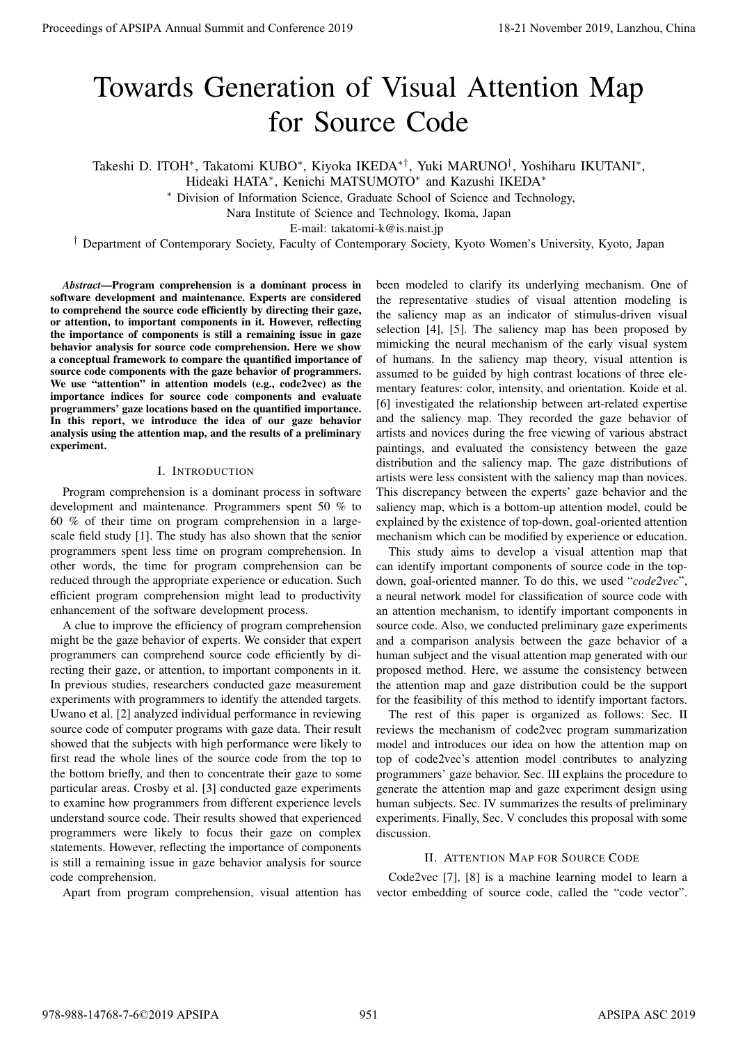# Towards Generation of Visual Attention Map for Source Code

Takeshi D. ITOH\*, Takatomi KUBO\*, Kiyoka IKEDA\*<sup>†</sup>, Yuki MARUNO<sup>†</sup>, Yoshiharu IKUTANI\*, Hideaki HATA<sup>∗</sup> , Kenichi MATSUMOTO<sup>∗</sup> and Kazushi IKEDA<sup>∗</sup>

<sup>∗</sup> Division of Information Science, Graduate School of Science and Technology,

Nara Institute of Science and Technology, Ikoma, Japan

E-mail: takatomi-k@is.naist.jp

† Department of Contemporary Society, Faculty of Contemporary Society, Kyoto Women's University, Kyoto, Japan

*Abstract*—Program comprehension is a dominant process in software development and maintenance. Experts are considered to comprehend the source code efficiently by directing their gaze, or attention, to important components in it. However, reflecting the importance of components is still a remaining issue in gaze behavior analysis for source code comprehension. Here we show a conceptual framework to compare the quantified importance of source code components with the gaze behavior of programmers. We use "attention" in attention models (e.g., code2vec) as the importance indices for source code components and evaluate programmers' gaze locations based on the quantified importance. In this report, we introduce the idea of our gaze behavior analysis using the attention map, and the results of a preliminary experiment.

## I. INTRODUCTION

Program comprehension is a dominant process in software development and maintenance. Programmers spent 50 % to 60 % of their time on program comprehension in a largescale field study [1]. The study has also shown that the senior programmers spent less time on program comprehension. In other words, the time for program comprehension can be reduced through the appropriate experience or education. Such efficient program comprehension might lead to productivity enhancement of the software development process.

A clue to improve the efficiency of program comprehension might be the gaze behavior of experts. We consider that expert programmers can comprehend source code efficiently by directing their gaze, or attention, to important components in it. In previous studies, researchers conducted gaze measurement experiments with programmers to identify the attended targets. Uwano et al. [2] analyzed individual performance in reviewing source code of computer programs with gaze data. Their result showed that the subjects with high performance were likely to first read the whole lines of the source code from the top to the bottom briefly, and then to concentrate their gaze to some particular areas. Crosby et al. [3] conducted gaze experiments to examine how programmers from different experience levels understand source code. Their results showed that experienced programmers were likely to focus their gaze on complex statements. However, reflecting the importance of components is still a remaining issue in gaze behavior analysis for source code comprehension.

Apart from program comprehension, visual attention has

been modeled to clarify its underlying mechanism. One of the representative studies of visual attention modeling is the saliency map as an indicator of stimulus-driven visual selection [4], [5]. The saliency map has been proposed by mimicking the neural mechanism of the early visual system of humans. In the saliency map theory, visual attention is assumed to be guided by high contrast locations of three elementary features: color, intensity, and orientation. Koide et al. [6] investigated the relationship between art-related expertise and the saliency map. They recorded the gaze behavior of artists and novices during the free viewing of various abstract paintings, and evaluated the consistency between the gaze distribution and the saliency map. The gaze distributions of artists were less consistent with the saliency map than novices. This discrepancy between the experts' gaze behavior and the saliency map, which is a bottom-up attention model, could be explained by the existence of top-down, goal-oriented attention mechanism which can be modified by experience or education. **Proceedings of APSIPA Annual Summit and Conference 2019**<br> **Towards of Conference 2019**<br> **Towards of Conference 2019**<br> **Towards of Conference 2019**<br> **Towards of Conference 2019**<br> **Towards of Conference 2019**<br> **The Interne** 

This study aims to develop a visual attention map that can identify important components of source code in the topdown, goal-oriented manner. To do this, we used "*code2vec*", a neural network model for classification of source code with an attention mechanism, to identify important components in source code. Also, we conducted preliminary gaze experiments and a comparison analysis between the gaze behavior of a human subject and the visual attention map generated with our proposed method. Here, we assume the consistency between the attention map and gaze distribution could be the support for the feasibility of this method to identify important factors.

The rest of this paper is organized as follows: Sec. II reviews the mechanism of code2vec program summarization model and introduces our idea on how the attention map on top of code2vec's attention model contributes to analyzing programmers' gaze behavior. Sec. III explains the procedure to generate the attention map and gaze experiment design using human subjects. Sec. IV summarizes the results of preliminary experiments. Finally, Sec. V concludes this proposal with some discussion.

# II. ATTENTION MAP FOR SOURCE CODE

Code2vec [7], [8] is a machine learning model to learn a vector embedding of source code, called the "code vector".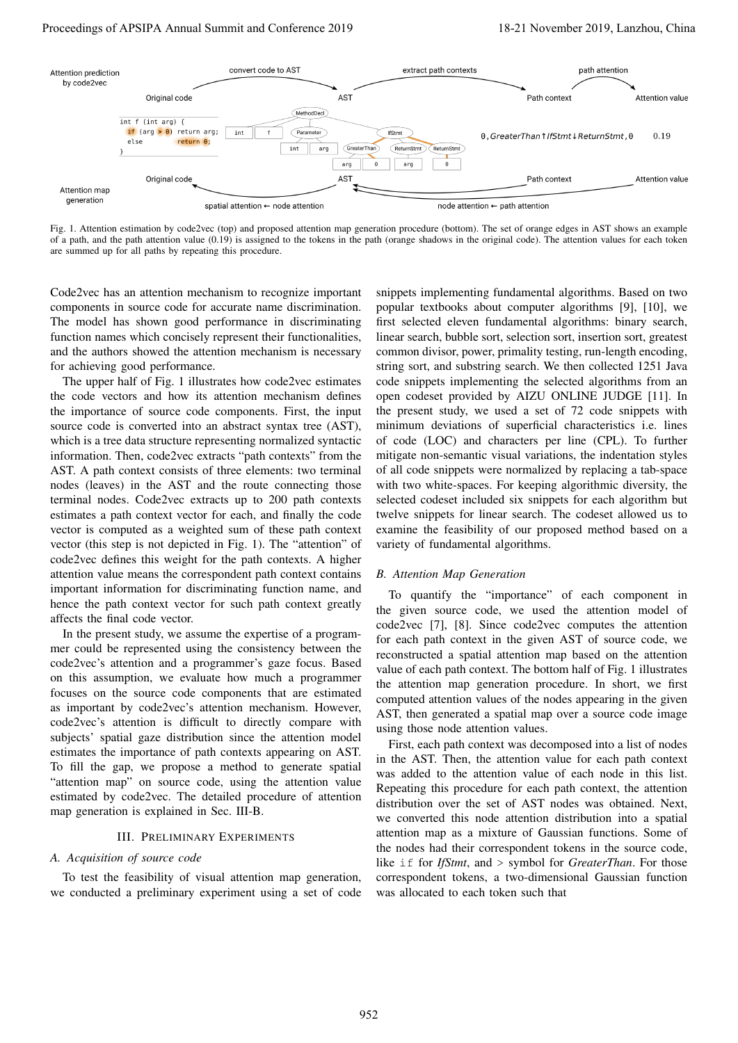

Fig. 1. Attention estimation by code2vec (top) and proposed attention map generation procedure (bottom). The set of orange edges in AST shows an example of a path, and the path attention value  $(0.19)$  is assigned to the tokens in the path (orange shadows in the original code). The attention values for each token are summed up for all paths by repeating this procedure.

Code2vec has an attention mechanism to recognize important components in source code for accurate name discrimination. The model has shown good performance in discriminating function names which concisely represent their functionalities, and the authors showed the attention mechanism is necessary for achieving good performance.

The upper half of Fig. 1 illustrates how code2vec estimates the code vectors and how its attention mechanism defines the importance of source code components. First, the input source code is converted into an abstract syntax tree (AST), which is a tree data structure representing normalized syntactic information. Then, code2vec extracts "path contexts" from the AST. A path context consists of three elements: two terminal nodes (leaves) in the AST and the route connecting those terminal nodes. Code2vec extracts up to 200 path contexts estimates a path context vector for each, and finally the code vector is computed as a weighted sum of these path context vector (this step is not depicted in Fig. 1). The "attention" of code2vec defines this weight for the path contexts. A higher attention value means the correspondent path context contains important information for discriminating function name, and hence the path context vector for such path context greatly affects the final code vector.

In the present study, we assume the expertise of a programmer could be represented using the consistency between the code2vec's attention and a programmer's gaze focus. Based on this assumption, we evaluate how much a programmer focuses on the source code components that are estimated as important by code2vec's attention mechanism. However, code2vec's attention is difficult to directly compare with subjects' spatial gaze distribution since the attention model estimates the importance of path contexts appearing on AST. To fill the gap, we propose a method to generate spatial "attention map" on source code, using the attention value estimated by code2vec. The detailed procedure of attention map generation is explained in Sec. III-B.

#### III. PRELIMINARY EXPERIMENTS

# *A. Acquisition of source code*

To test the feasibility of visual attention map generation, we conducted a preliminary experiment using a set of code

snippets implementing fundamental algorithms. Based on two popular textbooks about computer algorithms [9], [10], we first selected eleven fundamental algorithms: binary search, linear search, bubble sort, selection sort, insertion sort, greatest common divisor, power, primality testing, run-length encoding, string sort, and substring search. We then collected 1251 Java code snippets implementing the selected algorithms from an open codeset provided by AIZU ONLINE JUDGE [11]. In the present study, we used a set of 72 code snippets with minimum deviations of superficial characteristics i.e. lines of code (LOC) and characters per line (CPL). To further mitigate non-semantic visual variations, the indentation styles of all code snippets were normalized by replacing a tab-space with two white-spaces. For keeping algorithmic diversity, the selected codeset included six snippets for each algorithm but twelve snippets for linear search. The codeset allowed us to examine the feasibility of our proposed method based on a variety of fundamental algorithms.

# *B. Attention Map Generation*

To quantify the "importance" of each component in the given source code, we used the attention model of code2vec [7], [8]. Since code2vec computes the attention for each path context in the given AST of source code, we reconstructed a spatial attention map based on the attention value of each path context. The bottom half of Fig. 1 illustrates the attention map generation procedure. In short, we first computed attention values of the nodes appearing in the given AST, then generated a spatial map over a source code image using those node attention values.

First, each path context was decomposed into a list of nodes in the AST. Then, the attention value for each path context was added to the attention value of each node in this list. Repeating this procedure for each path context, the attention distribution over the set of AST nodes was obtained. Next, we converted this node attention distribution into a spatial attention map as a mixture of Gaussian functions. Some of the nodes had their correspondent tokens in the source code, like if for *IfStmt*, and > symbol for *GreaterThan*. For those correspondent tokens, a two-dimensional Gaussian function was allocated to each token such that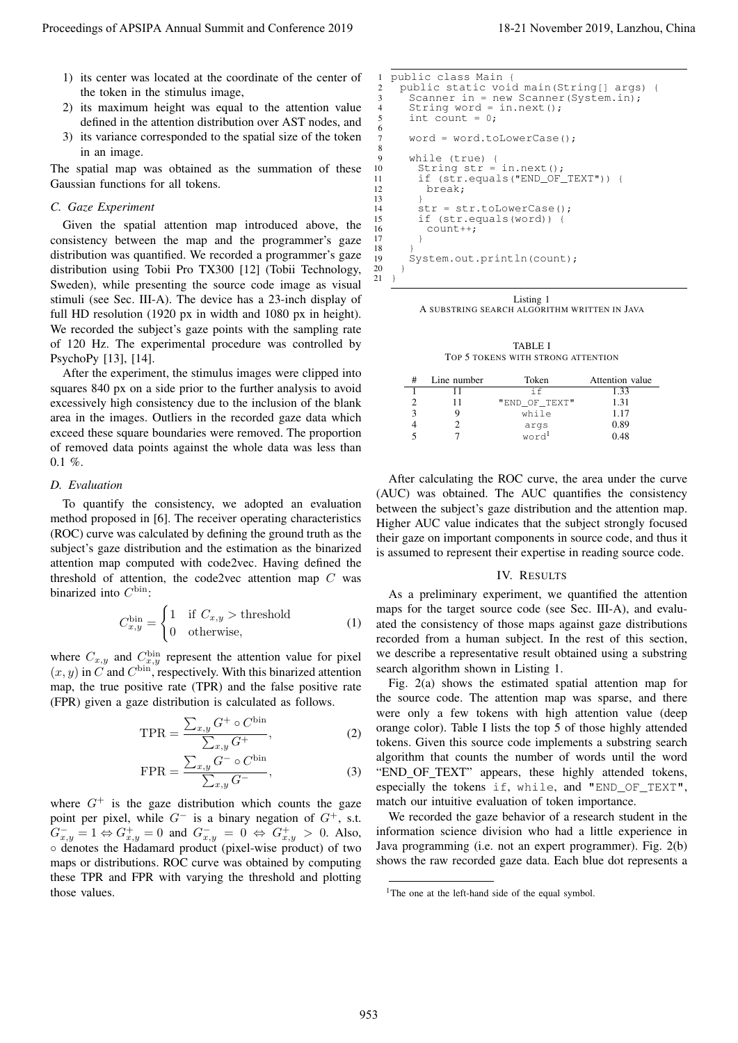- 1) its center was located at the coordinate of the center of the token in the stimulus image,
- 2) its maximum height was equal to the attention value defined in the attention distribution over AST nodes, and
- 3) its variance corresponded to the spatial size of the token in an image.

The spatial map was obtained as the summation of these Gaussian functions for all tokens.

# *C. Gaze Experiment*

Given the spatial attention map introduced above, the consistency between the map and the programmer's gaze distribution was quantified. We recorded a programmer's gaze distribution using Tobii Pro TX300 [12] (Tobii Technology, Sweden), while presenting the source code image as visual stimuli (see Sec. III-A). The device has a 23-inch display of full HD resolution (1920 px in width and 1080 px in height). We recorded the subject's gaze points with the sampling rate of 120 Hz. The experimental procedure was controlled by PsychoPy [13], [14].

After the experiment, the stimulus images were clipped into squares 840 px on a side prior to the further analysis to avoid excessively high consistency due to the inclusion of the blank area in the images. Outliers in the recorded gaze data which exceed these square boundaries were removed. The proportion of removed data points against the whole data was less than  $0.1 \%$ .

#### *D. Evaluation*

To quantify the consistency, we adopted an evaluation method proposed in [6]. The receiver operating characteristics (ROC) curve was calculated by defining the ground truth as the subject's gaze distribution and the estimation as the binarized attention map computed with code2vec. Having defined the threshold of attention, the code2vec attention map  $C$  was binarized into  $C^{\text{bin}}$ :

$$
C_{x,y}^{\text{bin}} = \begin{cases} 1 & \text{if } C_{x,y} > \text{threshold} \\ 0 & \text{otherwise,} \end{cases} \tag{1}
$$

where  $C_{x,y}$  and  $C_{x,y}^{\text{bin}}$  represent the attention value for pixel  $(x, y)$  in C and  $C^{\text{bin}}$ , respectively. With this binarized attention map, the true positive rate (TPR) and the false positive rate (FPR) given a gaze distribution is calculated as follows.

$$
TPR = \frac{\sum_{x,y} G^+ \circ C^{\text{bin}}}{\sum_{x,y} G^+},\tag{2}
$$

$$
\text{FPR} = \frac{\sum_{x,y} G^- \circ C^{\text{bin}}}{\sum_{x,y} G^-},\tag{3}
$$

where  $G^+$  is the gaze distribution which counts the gaze point per pixel, while  $G^-$  is a binary negation of  $G^+$ , s.t.  $G_{x,y}^- = 1 \Leftrightarrow G_{x,y}^+ = 0$  and  $G_{x,y}^- = 0 \Leftrightarrow G_{x,y}^+ > 0$ . Also, ◦ denotes the Hadamard product (pixel-wise product) of two maps or distributions. ROC curve was obtained by computing these TPR and FPR with varying the threshold and plotting those values.

```
1 public class Main {
                                                                          2 public static void main(String[] args) {
                                                                          3 Scanner in = new Scanner(System.in);
                                                                          4 String word = in.next();
                                                                          5 int count = 0;
                                                                          7 word = word.toLowerCase();
                                                                         9 while (true) {<br>10 String str =
                                                                                   String str = in.next();
                                                                         11 if (str.equals("END_OF_TEXT")) {
                                                                         12 break;
                                                                         14 str = str.toLowerCase();<br>15 if (str.equals(word)) {
                                                                         15 if (str.equals(word)) {<br>16 count++:
                                                                                   \text{count++;}19 System.out.println(count);<br>20 }
                                                                         \begin{matrix} 20 \\ 21 \end{matrix}Proceeding of APSIPA Annual Summit and Conference 2019<br>
The summit and conference 2019 in the summit and conference 2019 in the summit and conference 2019 in the summit of the summit and conference 2019 in the summit of t
```
6

 $\begin{matrix}8\\9\end{matrix}$ 

 $\frac{13}{14}$ 

17 } 18 }

21 }

Listing 1 A SUBSTRING SEARCH ALGORITHM WRITTEN IN JAVA

TABLE I TOP 5 TOKENS WITH STRONG ATTENTION

| Line number | Token             | Attention value |
|-------------|-------------------|-----------------|
|             | i f               | 1.33            |
| 11          | "END OF TEXT"     | 1.31            |
|             | while             | 1.17            |
|             | args              | 0.89            |
|             | word <sup>1</sup> | 0.48            |

After calculating the ROC curve, the area under the curve (AUC) was obtained. The AUC quantifies the consistency between the subject's gaze distribution and the attention map. Higher AUC value indicates that the subject strongly focused their gaze on important components in source code, and thus it is assumed to represent their expertise in reading source code.

#### IV. RESULTS

As a preliminary experiment, we quantified the attention maps for the target source code (see Sec. III-A), and evaluated the consistency of those maps against gaze distributions recorded from a human subject. In the rest of this section, we describe a representative result obtained using a substring search algorithm shown in Listing 1.

Fig. 2(a) shows the estimated spatial attention map for the source code. The attention map was sparse, and there were only a few tokens with high attention value (deep orange color). Table I lists the top 5 of those highly attended tokens. Given this source code implements a substring search algorithm that counts the number of words until the word "END\_OF\_TEXT" appears, these highly attended tokens, especially the tokens if, while, and "END\_OF\_TEXT", match our intuitive evaluation of token importance.

We recorded the gaze behavior of a research student in the information science division who had a little experience in Java programming (i.e. not an expert programmer). Fig. 2(b) shows the raw recorded gaze data. Each blue dot represents a

<sup>&</sup>lt;sup>1</sup>The one at the left-hand side of the equal symbol.